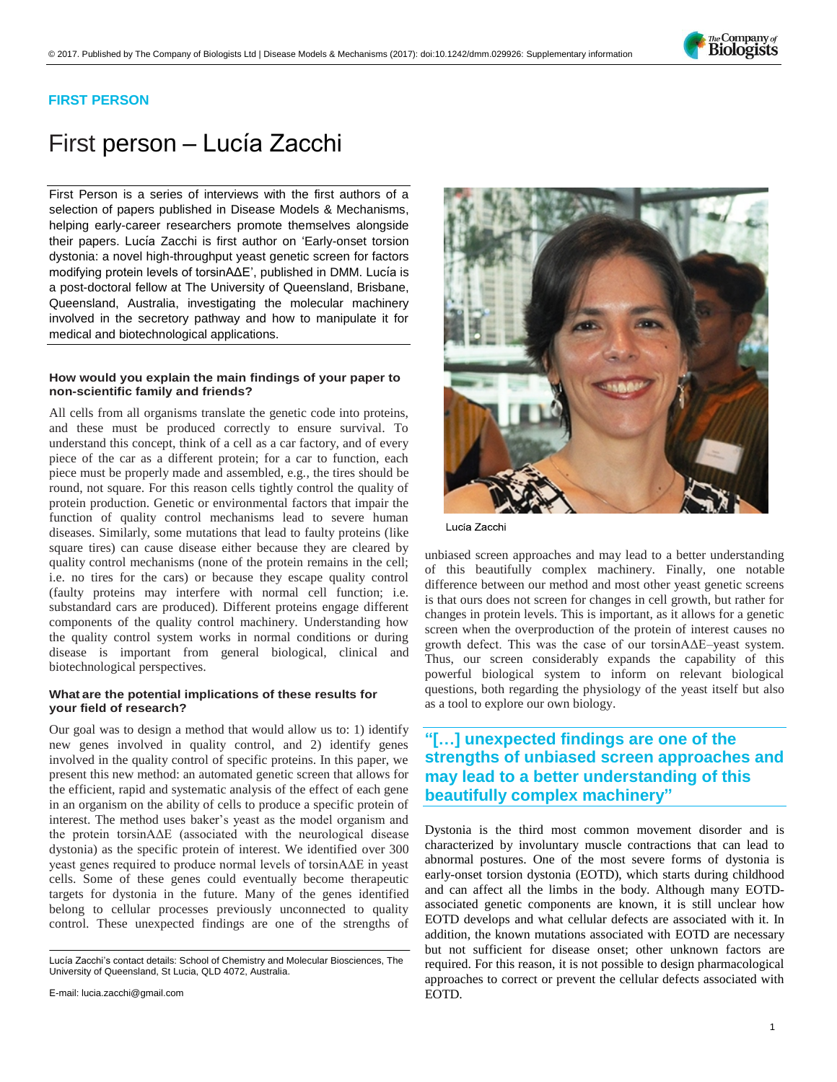

### **FIRST PERSON**

# First person – Lucía Zacchi

First Person is a series of interviews with the first authors of a selection of papers published in Disease Models & Mechanisms, helping early-career researchers promote themselves alongside their papers. Lucía Zacchi is first author on 'Early-onset torsion [dystonia: a novel high-throughput yeast genetic screen for factors](http://doi.org/10.1242/dmm.029926)  [modifying protein levels of torsinAΔE',](http://doi.org/10.1242/dmm.029926) published in DMM. Lucía is a post-doctoral fellow at The University of Queensland, Brisbane, Queensland, Australia, investigating the molecular machinery involved in the secretory pathway and how to manipulate it for medical and biotechnological applications.

### **How would you explain the main findings of your paper to non-scientific family and friends?**

All cells from all organisms translate the genetic code into proteins, and these must be produced correctly to ensure survival. To understand this concept, think of a cell as a car factory, and of every piece of the car as a different protein; for a car to function, each piece must be properly made and assembled, e.g., the tires should be round, not square. For this reason cells tightly control the quality of protein production. Genetic or environmental factors that impair the function of quality control mechanisms lead to severe human diseases. Similarly, some mutations that lead to faulty proteins (like square tires) can cause disease either because they are cleared by quality control mechanisms (none of the protein remains in the cell; i.e. no tires for the cars) or because they escape quality control (faulty proteins may interfere with normal cell function; i.e. substandard cars are produced). Different proteins engage different components of the quality control machinery. Understanding how the quality control system works in normal conditions or during disease is important from general biological, clinical and biotechnological perspectives.

### **What are the potential implications of these results for your field of research?**

Our goal was to design a method that would allow us to: 1) identify new genes involved in quality control, and 2) identify genes involved in the quality control of specific proteins. In this paper, we present this new method: an automated genetic screen that allows for the efficient, rapid and systematic analysis of the effect of each gene in an organism on the ability of cells to produce a specific protein of interest. The method uses baker's yeast as the model organism and the protein torsinAΔE (associated with the neurological disease dystonia) as the specific protein of interest. We identified over 300 yeast genes required to produce normal levels of torsinAΔE in yeast cells. Some of these genes could eventually become therapeutic targets for dystonia in the future. Many of the genes identified belong to cellular processes previously unconnected to quality control. These unexpected findings are one of the strengths of



Lucía Zacchi

unbiased screen approaches and may lead to a better understanding of this beautifully complex machinery. Finally, one notable difference between our method and most other yeast genetic screens is that ours does not screen for changes in cell growth, but rather for changes in protein levels. This is important, as it allows for a genetic screen when the overproduction of the protein of interest causes no growth defect. This was the case of our torsinAΔE–yeast system. Thus, our screen considerably expands the capability of this powerful biological system to inform on relevant biological questions, both regarding the physiology of the yeast itself but also as a tool to explore our own biology.

### **"[…] unexpected findings are one of the strengths of unbiased screen approaches and may lead to a better understanding of this beautifully complex machinery"**

Dystonia is the third most common movement disorder and is characterized by involuntary muscle contractions that can lead to abnormal postures. One of the most severe forms of dystonia is early-onset torsion dystonia (EOTD), which starts during childhood and can affect all the limbs in the body. Although many EOTDassociated genetic components are known, it is still unclear how EOTD develops and what cellular defects are associated with it. In addition, the known mutations associated with EOTD are necessary but not sufficient for disease onset; other unknown factors are required. For this reason, it is not possible to design pharmacological approaches to correct or prevent the cellular defects associated with EOTD.

Lucía Zacchi's contact details: School of Chemistry and Molecular Biosciences, The University of Queensland, St Lucia, QLD 4072, Australia.